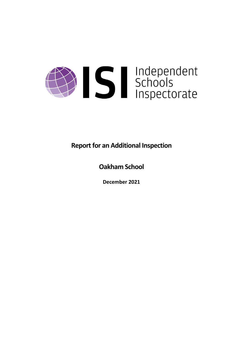

**Report for an Additional Inspection** 

**Oakham School**

**December 2021**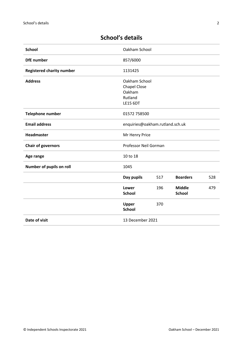# **School's details**

| <b>School</b>                    | Oakham School                                                                |     |                                |     |
|----------------------------------|------------------------------------------------------------------------------|-----|--------------------------------|-----|
| <b>DfE</b> number                | 857/6000                                                                     |     |                                |     |
| <b>Registered charity number</b> | 1131425                                                                      |     |                                |     |
| <b>Address</b>                   | Oakham School<br><b>Chapel Close</b><br>Oakham<br>Rutland<br><b>LE15 6DT</b> |     |                                |     |
| Telephone number                 | 01572 758500                                                                 |     |                                |     |
| <b>Email address</b>             | enquiries@oakham.rutland.sch.uk                                              |     |                                |     |
| Headmaster                       | Mr Henry Price                                                               |     |                                |     |
| <b>Chair of governors</b>        | Professor Neil Gorman                                                        |     |                                |     |
| Age range                        | 10 to 18                                                                     |     |                                |     |
| Number of pupils on roll         | 1045                                                                         |     |                                |     |
|                                  | Day pupils                                                                   | 517 | <b>Boarders</b>                | 528 |
|                                  | Lower<br><b>School</b>                                                       | 196 | <b>Middle</b><br><b>School</b> | 479 |
|                                  | Upper<br><b>School</b>                                                       | 370 |                                |     |
| Date of visit                    | 13 December 2021                                                             |     |                                |     |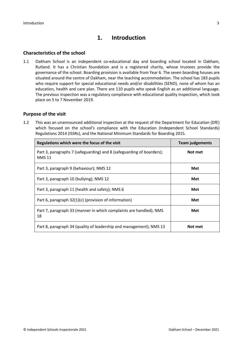# **1. Introduction**

### **Characteristics of the school**

1.1 Oakham School is an independent co-educational day and boarding school located in Oakham, Rutland. It has a Christian foundation and is a registered charity, whose trustees provide the governance of the school. Boarding provision is available from Year 6. The seven boarding houses are situated around the centre of Oakham, near the teaching accommodation. The school has 183 pupils who require support for special educational needs and/or disabilities (SEND), none of whom has an education, health and care plan. There are 110 pupils who speak English as an additional language. The previous inspection was a regulatory compliance with educational quality inspection, which took place on 5 to 7 November 2019.

#### **Purpose of the visit**

1.2 This was an unannounced additional inspection at the request of the Department for Education (DfE) which focused on the school's compliance with the Education (Independent School Standards) Regulations 2014 (ISSRs), and the National Minimum Standards for Boarding 2015.

| Regulations which were the focus of the visit                                          | <b>Team judgements</b> |  |
|----------------------------------------------------------------------------------------|------------------------|--|
| Part 3, paragraphs 7 (safeguarding) and 8 (safeguarding of boarders);<br><b>NMS 11</b> | Not met                |  |
| Part 3, paragraph 9 (behaviour); NMS 12                                                | <b>Met</b>             |  |
| Part 3, paragraph 10 (bullying); NMS 12                                                | Met                    |  |
| Part 3, paragraph 11 (health and safety); NMS 6                                        | Met                    |  |
| Part 6, paragraph 32(1)(c) (provision of information)                                  | Met                    |  |
| Part 7, paragraph 33 (manner in which complaints are handled); NMS<br>18               | Met                    |  |
| Part 8, paragraph 34 (quality of leadership and management); NMS 13                    | Not met                |  |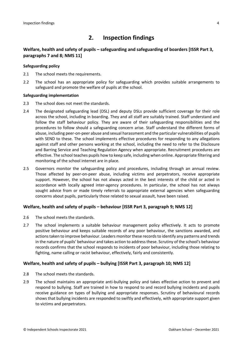# **2. Inspection findings**

### **Welfare, health and safety of pupils – safeguarding and safeguarding of boarders [ISSR Part 3, paragraphs 7 and 8; NMS 11]**

#### **Safeguarding policy**

- 2.1 The school meets the requirements.
- 2.2 The school has an appropriate policy for safeguarding which provides suitable arrangements to safeguard and promote the welfare of pupils at the school.

#### **Safeguarding implementation**

- 2.3 The school does not meet the standards.
- 2.4 The designated safeguarding lead (DSL) and deputy DSLs provide sufficient coverage for their role across the school, including in boarding. They and all staff are suitably trained. Staff understand and follow the staff behaviour policy. They are aware of their safeguarding responsibilities and the procedures to follow should a safeguarding concern arise. Staff understand the different forms of abuse, including peer-on-peer abuse and sexual harassment and the particular vulnerabilities of pupils with SEND to these. The school implements effective procedures for responding to any allegations against staff and other persons working at the school, including the need to refer to the Disclosure and Barring Service and Teaching Regulation Agency when appropriate. Recruitment procedures are effective. The school teaches pupils how to keep safe, including when online. Appropriate filtering and monitoring of the school internet are in place.
- 2.5 Governors monitor the safeguarding policy and procedures, including through an annual review. Those affected by peer-on-peer abuse, including victims and perpetrators, receive appropriate support. However, the school has not always acted in the best interests of the child or acted in accordance with locally agreed inter-agency procedures. In particular, the school has not always sought advice from or made timely referrals to appropriate external agencies when safeguarding concerns about pupils, particularly those related to sexual assault, have been raised.

#### **Welfare, health and safety of pupils – behaviour [ISSR Part 3, paragraph 9; NMS 12]**

- 2.6 The school meets the standards.
- 2.7 The school implements a suitable behaviour management policy effectively. It acts to promote positive behaviour and keeps suitable records of any poor behaviour, the sanctions awarded, and actions taken to improve behaviour. Leaders monitor these records to identify any patterns and trends in the nature of pupils' behaviour and takes action to addressthese. Scrutiny of the school's behaviour records confirms that the school responds to incidents of poor behaviour, including those relating to fighting, name calling or racist behaviour, effectively, fairly and consistently.

#### **Welfare, health and safety of pupils – bullying [ISSR Part 3, paragraph 10; NMS 12]**

- 2.8 The school meets the standards.
- 2.9 The school maintains an appropriate anti-bullying policy and takes effective action to prevent and respond to bullying. Staff are trained in how to respond to and record bullying incidents and pupils receive guidance on types of bullying and appropriate responses. Scrutiny of behavioural records shows that bullying incidents are responded to swiftly and effectively, with appropriate support given to victims and perpetrators.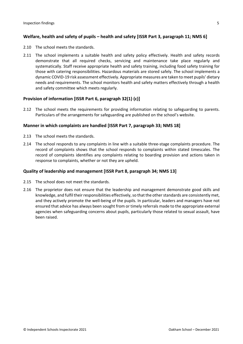### **Welfare, health and safety of pupils – health and safety [ISSR Part 3, paragraph 11; NMS 6]**

- 2.10 The school meets the standards.
- 2.11 The school implements a suitable health and safety policy effectively. Health and safety records demonstrate that all required checks, servicing and maintenance take place regularly and systematically. Staff receive appropriate health and safety training, including food safety training for those with catering responsibilities. Hazardous materials are stored safely. The school implements a dynamic COVID-19 risk assessment effectively. Appropriate measures are taken to meet pupils' dietary needs and requirements. The school monitors health and safety matters effectively through a health and safety committee which meets regularly.

#### **Provision of information [ISSR Part 6, paragraph 32(1) (c)]**

2.12 The school meets the requirements for providing information relating to safeguarding to parents. Particulars of the arrangements for safeguarding are published on the school's website.

#### **Manner in which complaints are handled [ISSR Part 7, paragraph 33; NMS 18]**

- 2.13 The school meets the standards.
- 2.14 The school responds to any complaints in line with a suitable three-stage complaints procedure. The record of complaints shows that the school responds to complaints within stated timescales. The record of complaints identifies any complaints relating to boarding provision and actions taken in response to complaints, whether or not they are upheld.

#### **Quality of leadership and management [ISSR Part 8, paragraph 34; NMS 13]**

- 2.15 The school does not meet the standards.
- 2.16 The proprietor does not ensure that the leadership and management demonstrate good skills and knowledge, and fulfil their responsibilities effectively, so that the other standards are consistently met, and they actively promote the well-being of the pupils. In particular, leaders and managers have not ensured that advice has always been sought from or timely referrals made to the appropriate external agencies when safeguarding concerns about pupils, particularly those related to sexual assault, have been raised.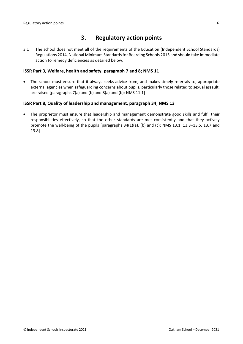### **3. Regulatory action points**

3.1 The school does not meet all of the requirements of the Education (Independent School Standards) Regulations 2014, National Minimum Standards for Boarding Schools 2015 and should take immediate action to remedy deficiencies as detailed below.

#### **ISSR Part 3, Welfare, health and safety, paragraph 7 and 8; NMS 11**

 The school must ensure that it always seeks advice from, and makes timely referrals to, appropriate external agencies when safeguarding concerns about pupils, particularly those related to sexual assault, are raised [paragraphs 7(a) and (b) and 8(a) and (b); NMS 11.1]

#### **ISSR Part 8, Quality of leadership and management, paragraph 34; NMS 13**

 The proprietor must ensure that leadership and management demonstrate good skills and fulfil their responsibilities effectively, so that the other standards are met consistently and that they actively promote the well-being of the pupils [paragraphs 34(1)(a), (b) and (c); NMS 13.1, 13.3–13.5, 13.7 and 13.8]